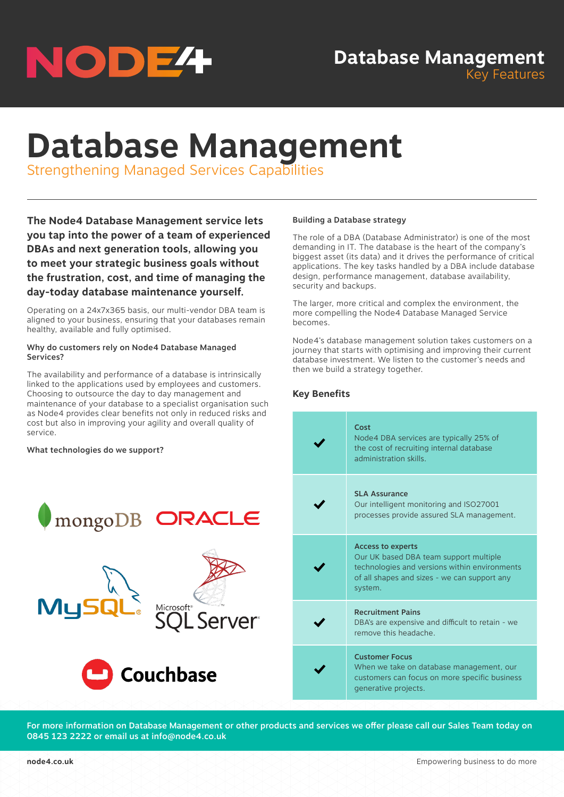

# **Database Management** Key Features

# **Database Management**

Strengthening Managed Services Capabilities

**The Node4 Database Management service lets you tap into the power of a team of experienced DBAs and next generation tools, allowing you to meet your strategic business goals without the frustration, cost, and time of managing the day-today database maintenance yourself.**

Operating on a 24x7x365 basis, our multi-vendor DBA team is aligned to your business, ensuring that your databases remain healthy, available and fully optimised.

## Why do customers rely on Node4 Database Managed Services?

The availability and performance of a database is intrinsically linked to the applications used by employees and customers. Choosing to outsource the day to day management and maintenance of your database to a specialist organisation such as Node4 provides clear benefits not only in reduced risks and cost but also in improving your agility and overall quality of service.

## What technologies do we support?



## Building a Database strategy

The role of a DBA (Database Administrator) is one of the most demanding in IT. The database is the heart of the company's biggest asset (its data) and it drives the performance of critical applications. The key tasks handled by a DBA include database design, performance management, database availability, security and backups.

The larger, more critical and complex the environment, the more compelling the Node4 Database Managed Service becomes.

Node4's database management solution takes customers on a journey that starts with optimising and improving their current database investment. We listen to the customer's needs and then we build a strategy together.

# **Key Benefits**

| Cost<br>Node4 DBA services are typically 25% of<br>the cost of recruiting internal database<br>administration skills                                                           |
|--------------------------------------------------------------------------------------------------------------------------------------------------------------------------------|
| <b>SLA Assurance</b><br>Our intelligent monitoring and ISO27001<br>processes provide assured SLA management.                                                                   |
| <b>Access to experts</b><br>Our UK based DBA team support multiple<br>technologies and versions within environments<br>of all shapes and sizes - we can support any<br>system. |
| <b>Recruitment Pains</b><br>DBA's are expensive and difficult to retain - we<br>remove this headache.                                                                          |
| <b>Customer Focus</b><br>When we take on database management, our<br>customers can focus on more specific business<br>generative projects.                                     |

For more information on Database Management or other products and services we offer please call our Sales Team today on 0845 123 2222 or email us at info@node4.co.uk